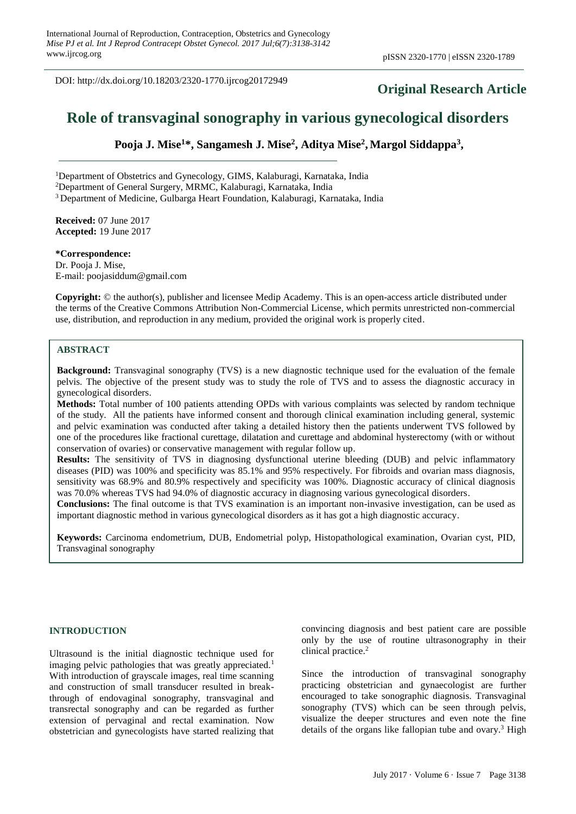DOI: http://dx.doi.org/10.18203/2320-1770.ijrcog20172949

# **Original Research Article**

# **Role of transvaginal sonography in various gynecological disorders**

**Pooja J. Mise<sup>1</sup>\*, Sangamesh J. Mise<sup>2</sup> , Aditya Mise<sup>2</sup> , Margol Siddappa<sup>3</sup> ,** 

<sup>1</sup>Department of Obstetrics and Gynecology, GIMS, Kalaburagi, Karnataka, India

<sup>2</sup>Department of General Surgery, MRMC, Kalaburagi, Karnataka, India

<sup>3</sup> Department of Medicine, Gulbarga Heart Foundation, Kalaburagi, Karnataka, India

**Received:** 07 June 2017 **Accepted:** 19 June 2017

#### **\*Correspondence:**

Dr. Pooja J. Mise, E-mail: poojasiddum@gmail.com

**Copyright:** © the author(s), publisher and licensee Medip Academy. This is an open-access article distributed under the terms of the Creative Commons Attribution Non-Commercial License, which permits unrestricted non-commercial use, distribution, and reproduction in any medium, provided the original work is properly cited.

#### **ABSTRACT**

**Background:** Transvaginal sonography (TVS) is a new diagnostic technique used for the evaluation of the female pelvis. The objective of the present study was to study the role of TVS and to assess the diagnostic accuracy in gynecological disorders.

**Methods:** Total number of 100 patients attending OPDs with various complaints was selected by random technique of the study. All the patients have informed consent and thorough clinical examination including general, systemic and pelvic examination was conducted after taking a detailed history then the patients underwent TVS followed by one of the procedures like fractional curettage, dilatation and curettage and abdominal hysterectomy (with or without conservation of ovaries) or conservative management with regular follow up.

**Results:** The sensitivity of TVS in diagnosing dysfunctional uterine bleeding (DUB) and pelvic inflammatory diseases (PID) was 100% and specificity was 85.1% and 95% respectively. For fibroids and ovarian mass diagnosis, sensitivity was 68.9% and 80.9% respectively and specificity was 100%. Diagnostic accuracy of clinical diagnosis was 70.0% whereas TVS had 94.0% of diagnostic accuracy in diagnosing various gynecological disorders.

**Conclusions:** The final outcome is that TVS examination is an important non-invasive investigation, can be used as important diagnostic method in various gynecological disorders as it has got a high diagnostic accuracy.

**Keywords:** Carcinoma endometrium, DUB, Endometrial polyp, Histopathological examination, Ovarian cyst, PID, Transvaginal sonography

#### **INTRODUCTION**

Ultrasound is the initial diagnostic technique used for imaging pelvic pathologies that was greatly appreciated.<sup>1</sup> With introduction of grayscale images, real time scanning and construction of small transducer resulted in breakthrough of endovaginal sonography, transvaginal and transrectal sonography and can be regarded as further extension of pervaginal and rectal examination. Now obstetrician and gynecologists have started realizing that convincing diagnosis and best patient care are possible only by the use of routine ultrasonography in their clinical practice.<sup>2</sup>

Since the introduction of transvaginal sonography practicing obstetrician and gynaecologist are further encouraged to take sonographic diagnosis. Transvaginal sonography (TVS) which can be seen through pelvis, visualize the deeper structures and even note the fine details of the organs like fallopian tube and ovary.<sup>3</sup> High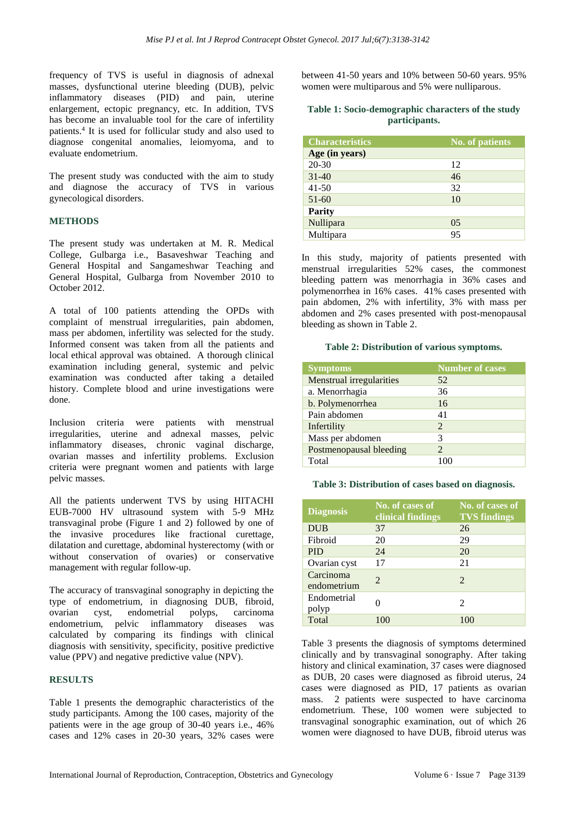frequency of TVS is useful in diagnosis of adnexal masses, dysfunctional uterine bleeding (DUB), pelvic inflammatory diseases (PID) and pain, uterine enlargement, ectopic pregnancy, etc. In addition, TVS has become an invaluable tool for the care of infertility patients.<sup>4</sup> It is used for follicular study and also used to diagnose congenital anomalies, leiomyoma, and to evaluate endometrium.

The present study was conducted with the aim to study and diagnose the accuracy of TVS in various gynecological disorders.

#### **METHODS**

The present study was undertaken at M. R. Medical College, Gulbarga i.e., Basaveshwar Teaching and General Hospital and Sangameshwar Teaching and General Hospital, Gulbarga from November 2010 to October 2012.

A total of 100 patients attending the OPDs with complaint of menstrual irregularities, pain abdomen, mass per abdomen, infertility was selected for the study. Informed consent was taken from all the patients and local ethical approval was obtained. A thorough clinical examination including general, systemic and pelvic examination was conducted after taking a detailed history. Complete blood and urine investigations were done.

Inclusion criteria were patients with menstrual irregularities, uterine and adnexal masses, pelvic inflammatory diseases, chronic vaginal discharge, ovarian masses and infertility problems. Exclusion criteria were pregnant women and patients with large pelvic masses.

All the patients underwent TVS by using HITACHI EUB-7000 HV ultrasound system with 5-9 MHz transvaginal probe (Figure 1 and 2) followed by one of the invasive procedures like fractional curettage, dilatation and curettage, abdominal hysterectomy (with or without conservation of ovaries) or conservative management with regular follow-up.

The accuracy of transvaginal sonography in depicting the type of endometrium, in diagnosing DUB, fibroid, ovarian cyst, endometrial polyps, carcinoma endometrium, pelvic inflammatory diseases was calculated by comparing its findings with clinical diagnosis with sensitivity, specificity, positive predictive value (PPV) and negative predictive value (NPV).

# **RESULTS**

Table 1 presents the demographic characteristics of the study participants. Among the 100 cases, majority of the patients were in the age group of 30-40 years i.e., 46% cases and 12% cases in 20-30 years, 32% cases were between 41-50 years and 10% between 50-60 years. 95% women were multiparous and 5% were nulliparous.

#### **Table 1: Socio-demographic characters of the study participants.**

| <b>Characteristics</b> | No. of patients |
|------------------------|-----------------|
| Age (in years)         |                 |
| $20 - 30$              | 12              |
| $31 - 40$              | 46              |
| $41 - 50$              | 32              |
| $51 - 60$              | 10              |
| <b>Parity</b>          |                 |
| Nullipara              | 05              |
| Multipara              | 95              |

In this study, majority of patients presented with menstrual irregularities 52% cases, the commonest bleeding pattern was menorrhagia in 36% cases and polymenorrhea in 16% cases. 41% cases presented with pain abdomen, 2% with infertility, 3% with mass per abdomen and 2% cases presented with post-menopausal bleeding as shown in Table 2.

#### **Table 2: Distribution of various symptoms.**

| <b>Symptoms</b>          | <b>Number of cases</b> |
|--------------------------|------------------------|
| Menstrual irregularities | 52                     |
| a. Menorrhagia           | 36                     |
| b. Polymenorrhea         | 16                     |
| Pain abdomen             | 41                     |
| Infertility              | 2                      |
| Mass per abdomen         | 3                      |
| Postmenopausal bleeding  | 2                      |
| Total                    |                        |

#### **Table 3: Distribution of cases based on diagnosis.**

| <b>Diagnosis</b>         | No. of cases of<br>clinical findings | No. of cases of<br><b>TVS findings</b> |
|--------------------------|--------------------------------------|----------------------------------------|
| <b>DUB</b>               | 37                                   | 26                                     |
| Fibroid                  | 20                                   | 29                                     |
| <b>PID</b>               | 24                                   | 20                                     |
| Ovarian cyst             | 17                                   | 21                                     |
| Carcinoma<br>endometrium | $\mathcal{D}_{\cdot}$                | $\mathcal{D}_{\cdot}$                  |
| Endometrial<br>polyp     |                                      | $\mathcal{D}_{\mathcal{L}}$            |
| Total                    | 100                                  | 100                                    |

Table 3 presents the diagnosis of symptoms determined clinically and by transvaginal sonography. After taking history and clinical examination, 37 cases were diagnosed as DUB, 20 cases were diagnosed as fibroid uterus, 24 cases were diagnosed as PID, 17 patients as ovarian mass. 2 patients were suspected to have carcinoma endometrium. These, 100 women were subjected to transvaginal sonographic examination, out of which 26 women were diagnosed to have DUB, fibroid uterus was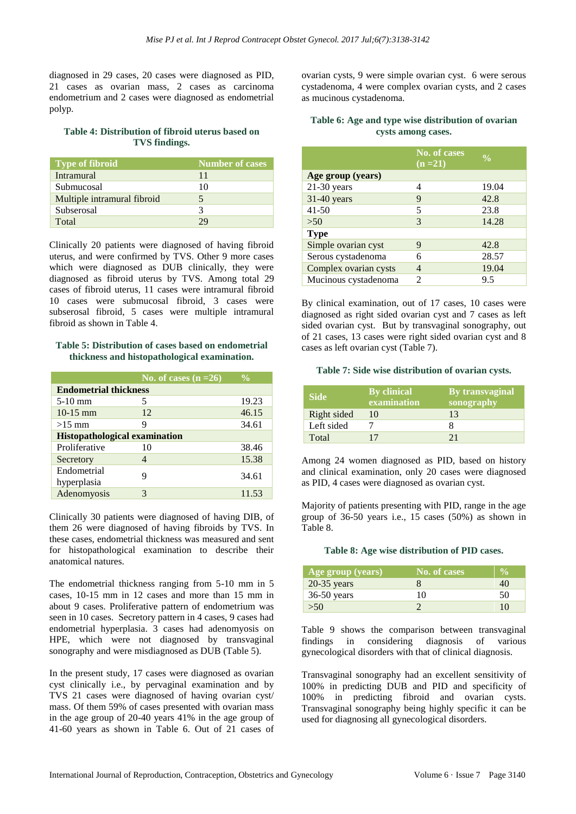diagnosed in 29 cases, 20 cases were diagnosed as PID, 21 cases as ovarian mass, 2 cases as carcinoma endometrium and 2 cases were diagnosed as endometrial polyp.

#### **Table 4: Distribution of fibroid uterus based on TVS findings.**

| <b>Type of fibroid</b>      | Number of cases |
|-----------------------------|-----------------|
| <b>Intramural</b>           | 11              |
| Submucosal                  | 10              |
| Multiple intramural fibroid |                 |
| Subserosal                  | 3               |
| Total                       |                 |

Clinically 20 patients were diagnosed of having fibroid uterus, and were confirmed by TVS. Other 9 more cases which were diagnosed as DUB clinically, they were diagnosed as fibroid uterus by TVS. Among total 29 cases of fibroid uterus, 11 cases were intramural fibroid 10 cases were submucosal fibroid, 3 cases were subserosal fibroid, 5 cases were multiple intramural fibroid as shown in Table 4.

# **Table 5: Distribution of cases based on endometrial thickness and histopathological examination.**

|                                      | No. of cases $(n=26)$ | $\frac{0}{0}$ |  |  |  |
|--------------------------------------|-----------------------|---------------|--|--|--|
| <b>Endometrial thickness</b>         |                       |               |  |  |  |
| $5-10$ mm                            |                       | 19.23         |  |  |  |
| $10-15$ mm                           | 12                    | 46.15         |  |  |  |
| $>15$ mm                             | 9                     | 34.61         |  |  |  |
| <b>Histopathological examination</b> |                       |               |  |  |  |
| Proliferative                        | 10                    | 38.46         |  |  |  |
| Secretory                            | 4                     | 15.38         |  |  |  |
| Endometrial                          | Q                     |               |  |  |  |
| hyperplasia                          |                       | 34.61         |  |  |  |
| Adenomyosis                          |                       | 11.53         |  |  |  |

Clinically 30 patients were diagnosed of having DIB, of them 26 were diagnosed of having fibroids by TVS. In these cases, endometrial thickness was measured and sent for histopathological examination to describe their anatomical natures.

The endometrial thickness ranging from 5-10 mm in 5 cases, 10-15 mm in 12 cases and more than 15 mm in about 9 cases. Proliferative pattern of endometrium was seen in 10 cases. Secretory pattern in 4 cases, 9 cases had endometrial hyperplasia. 3 cases had adenomyosis on HPE, which were not diagnosed by transvaginal sonography and were misdiagnosed as DUB (Table 5).

In the present study, 17 cases were diagnosed as ovarian cyst clinically i.e., by pervaginal examination and by TVS 21 cases were diagnosed of having ovarian cyst/ mass. Of them 59% of cases presented with ovarian mass in the age group of 20-40 years 41% in the age group of 41-60 years as shown in Table 6. Out of 21 cases of ovarian cysts, 9 were simple ovarian cyst. 6 were serous cystadenoma, 4 were complex ovarian cysts, and 2 cases as mucinous cystadenoma.

# **Table 6: Age and type wise distribution of ovarian cysts among cases.**

|                       | No. of cases<br>$(n=21)$    | $\frac{1}{2}$ |
|-----------------------|-----------------------------|---------------|
| Age group (years)     |                             |               |
| $21-30$ years         | 4                           | 19.04         |
| $31-40$ years         | 9                           | 42.8          |
| $41 - 50$             | 5                           | 23.8          |
| >50                   | 3                           | 14.28         |
| <b>Type</b>           |                             |               |
| Simple ovarian cyst   | 9                           | 42.8          |
| Serous cystadenoma    |                             | 28.57         |
| Complex ovarian cysts |                             | 19.04         |
| Mucinous cystadenoma  | $\mathcal{D}_{\mathcal{A}}$ | 9.5           |

By clinical examination, out of 17 cases, 10 cases were diagnosed as right sided ovarian cyst and 7 cases as left sided ovarian cyst. But by transvaginal sonography, out of 21 cases, 13 cases were right sided ovarian cyst and 8 cases as left ovarian cyst (Table 7).

#### **Table 7: Side wise distribution of ovarian cysts.**

| <b>Side</b> | <b>By clinical</b><br>examination | By transvaginal<br>sonography |
|-------------|-----------------------------------|-------------------------------|
| Right sided | 10                                | 13                            |
| Left sided  |                                   |                               |
| Total       | 17                                | 21                            |

Among 24 women diagnosed as PID, based on history and clinical examination, only 20 cases were diagnosed as PID, 4 cases were diagnosed as ovarian cyst.

Majority of patients presenting with PID, range in the age group of 36-50 years i.e., 15 cases (50%) as shown in Table 8.

#### **Table 8: Age wise distribution of PID cases.**

| Age group (years) | No. of cases |    |
|-------------------|--------------|----|
| $20-35$ years     |              | 40 |
| $36-50$ years     | 10           | 50 |
| >50               |              | 10 |

Table 9 shows the comparison between transvaginal findings in considering diagnosis of various gynecological disorders with that of clinical diagnosis.

Transvaginal sonography had an excellent sensitivity of 100% in predicting DUB and PID and specificity of 100% in predicting fibroid and ovarian cysts. Transvaginal sonography being highly specific it can be used for diagnosing all gynecological disorders.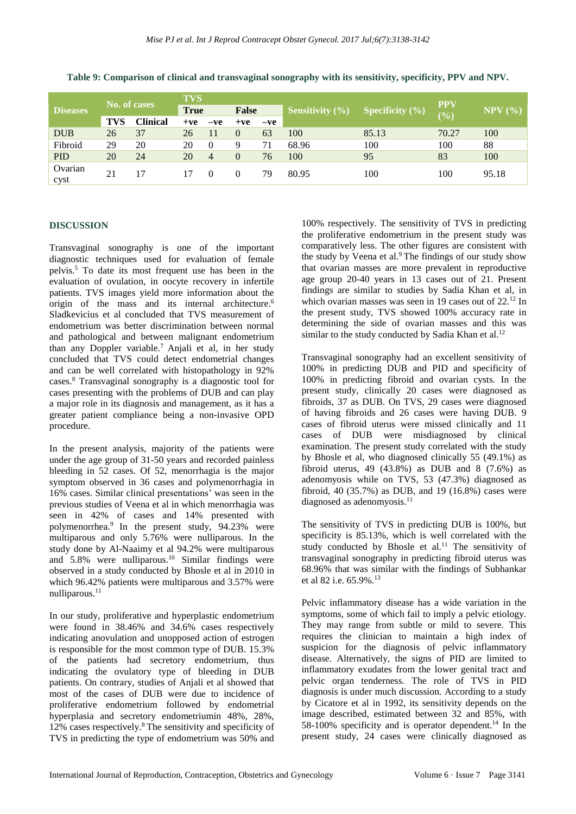|                 | No. of cases |                 | <b>TVS</b>  |       |              |       |                     |                    | <b>PPV</b> |               |
|-----------------|--------------|-----------------|-------------|-------|--------------|-------|---------------------|--------------------|------------|---------------|
| <b>Diseases</b> |              |                 | <b>True</b> |       | <b>False</b> |       | Sensitivity $(\% )$ | Specificity $(\%)$ | $(\%)$     | $NPV$ $(\% )$ |
|                 | <b>TVS</b>   | <b>Clinical</b> | $+ve$       | $-ve$ | $+ve$        | $-ve$ |                     |                    |            |               |
| <b>DUB</b>      | 26           | 37              | 26          |       | $\Omega$     | 63    | 100                 | 85.13              | 70.27      | 100           |
| Fibroid         | 29           | 20              | 20          | 0     |              | 71    | 68.96               | 100                | 100        | 88            |
| <b>PID</b>      | 20           | 24              | 20          | 4     |              | 76    | 100                 | 95                 | 83         | 100           |
| Ovarian<br>cyst | 21           |                 | 17          |       |              | 79    | 80.95               | 100                | 100        | 95.18         |

**Table 9: Comparison of clinical and transvaginal sonography with its sensitivity, specificity, PPV and NPV.**

# **DISCUSSION**

Transvaginal sonography is one of the important diagnostic techniques used for evaluation of female pelvis.<sup>5</sup> To date its most frequent use has been in the evaluation of ovulation, in oocyte recovery in infertile patients. TVS images yield more information about the origin of the mass and its internal architecture.<sup>6</sup> Sladkevicius et al concluded that TVS measurement of endometrium was better discrimination between normal and pathological and between malignant endometrium than any Doppler variable.<sup>7</sup> Anjali et al, in her study concluded that TVS could detect endometrial changes and can be well correlated with histopathology in 92% cases.<sup>8</sup> Transvaginal sonography is a diagnostic tool for cases presenting with the problems of DUB and can play a major role in its diagnosis and management, as it has a greater patient compliance being a non-invasive OPD procedure.

In the present analysis, majority of the patients were under the age group of 31-50 years and recorded painless bleeding in 52 cases. Of 52, menorrhagia is the major symptom observed in 36 cases and polymenorrhagia in 16% cases. Similar clinical presentations' was seen in the previous studies of Veena et al in which menorrhagia was seen in 42% of cases and 14% presented with polymenorrhea.<sup>9</sup> In the present study, 94.23% were multiparous and only 5.76% were nulliparous. In the study done by Al-Naaimy et al 94.2% were multiparous and  $5.8\%$  were nulliparous.<sup>10</sup> Similar findings were observed in a study conducted by Bhosle et al in 2010 in which 96.42% patients were multiparous and 3.57% were nulliparous.<sup>11</sup>

In our study, proliferative and hyperplastic endometrium were found in 38.46% and 34.6% cases respectively indicating anovulation and unopposed action of estrogen is responsible for the most common type of DUB. 15.3% of the patients had secretory endometrium, thus indicating the ovulatory type of bleeding in DUB patients. On contrary, studies of Anjali et al showed that most of the cases of DUB were due to incidence of proliferative endometrium followed by endometrial hyperplasia and secretory endometriumin 48%, 28%, 12% cases respectively.<sup>8</sup> The sensitivity and specificity of TVS in predicting the type of endometrium was 50% and 100% respectively. The sensitivity of TVS in predicting the proliferative endometrium in the present study was comparatively less. The other figures are consistent with the study by Veena et al.<sup>9</sup> The findings of our study show that ovarian masses are more prevalent in reproductive age group 20-40 years in 13 cases out of 21. Present findings are similar to studies by Sadia Khan et al, in which ovarian masses was seen in 19 cases out of 22.<sup>12</sup> In the present study, TVS showed 100% accuracy rate in determining the side of ovarian masses and this was similar to the study conducted by Sadia Khan et al.<sup>12</sup>

Transvaginal sonography had an excellent sensitivity of 100% in predicting DUB and PID and specificity of 100% in predicting fibroid and ovarian cysts. In the present study, clinically 20 cases were diagnosed as fibroids, 37 as DUB. On TVS, 29 cases were diagnosed of having fibroids and 26 cases were having DUB. 9 cases of fibroid uterus were missed clinically and 11 cases of DUB were misdiagnosed by clinical examination. The present study correlated with the study by Bhosle et al, who diagnosed clinically 55 (49.1%) as fibroid uterus, 49 (43.8%) as DUB and 8 (7.6%) as adenomyosis while on TVS, 53 (47.3%) diagnosed as fibroid, 40 (35.7%) as DUB, and 19 (16.8%) cases were diagnosed as adenomyosis. $11$ 

The sensitivity of TVS in predicting DUB is 100%, but specificity is 85.13%, which is well correlated with the study conducted by Bhosle et  $al$ <sup>11</sup>. The sensitivity of transvaginal sonography in predicting fibroid uterus was 68.96% that was similar with the findings of Subhankar et al 82 i.e. 65.9%.<sup>13</sup>

Pelvic inflammatory disease has a wide variation in the symptoms, some of which fail to imply a pelvic etiology. They may range from subtle or mild to severe. This requires the clinician to maintain a high index of suspicion for the diagnosis of pelvic inflammatory disease. Alternatively, the signs of PID are limited to inflammatory exudates from the lower genital tract and pelvic organ tenderness. The role of TVS in PID diagnosis is under much discussion. According to a study by Cicatore et al in 1992, its sensitivity depends on the image described, estimated between 32 and 85%, with 58-100% specificity and is operator dependent.<sup>14</sup> In the present study, 24 cases were clinically diagnosed as